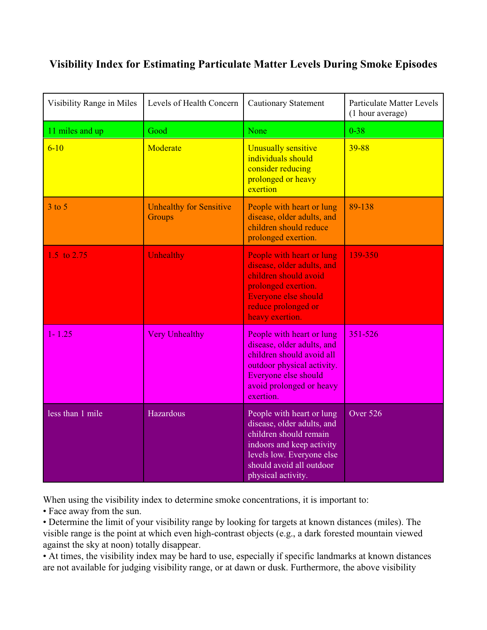## **Visibility Index for Estimating Particulate Matter Levels During Smoke Episodes**

| Visibility Range in Miles | Levels of Health Concern                 | <b>Cautionary Statement</b>                                                                                                                                                                   | <b>Particulate Matter Levels</b><br>(1 hour average) |
|---------------------------|------------------------------------------|-----------------------------------------------------------------------------------------------------------------------------------------------------------------------------------------------|------------------------------------------------------|
| 11 miles and up           | Good                                     | None                                                                                                                                                                                          | $0 - 38$                                             |
| $6 - 10$                  | Moderate                                 | Unusually sensitive<br>individuals should<br>consider reducing<br>prolonged or heavy<br>exertion                                                                                              | 39-88                                                |
| $3$ to $5$                | <b>Unhealthy for Sensitive</b><br>Groups | People with heart or lung<br>disease, older adults, and<br>children should reduce<br>prolonged exertion.                                                                                      | 89-138                                               |
| 1.5 to 2.75               | <b>Unhealthy</b>                         | People with heart or lung<br>disease, older adults, and<br>children should avoid<br>prolonged exertion.<br>Everyone else should<br>reduce prolonged or<br>heavy exertion.                     | 139-350                                              |
| 1-1.25                    | <b>Very Unhealthy</b>                    | People with heart or lung<br>disease, older adults, and<br>children should avoid all<br>outdoor physical activity.<br>Everyone else should<br>avoid prolonged or heavy<br>exertion.           | 351-526                                              |
| less than 1 mile          | Hazardous                                | People with heart or lung<br>disease, older adults, and<br>children should remain<br>indoors and keep activity<br>levels low. Everyone else<br>should avoid all outdoor<br>physical activity. | Over 526                                             |

When using the visibility index to determine smoke concentrations, it is important to:

• Face away from the sun.

• Determine the limit of your visibility range by looking for targets at known distances (miles). The visible range is the point at which even high-contrast objects (e.g., a dark forested mountain viewed against the sky at noon) totally disappear.

• At times, the visibility index may be hard to use, especially if specific landmarks at known distances are not available for judging visibility range, or at dawn or dusk. Furthermore, the above visibility